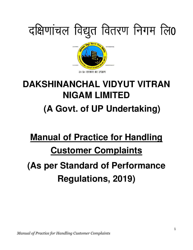

## **DAKSHINANCHAL VIDYUT VITRAN NIGAM LIMITED (A Govt. of UP Undertaking)**

# **Manual of Practice for Handling Customer Complaints**

### **(As per Standard of Performance Regulations, 2019)**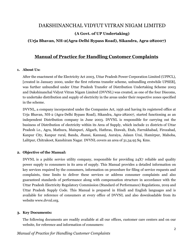### DAKSHINANCHAL VIDYUT VITRAN NIGAM LIMITED (A Govt. of UP Undertaking)

#### (Urja Bhavan, NH-2(Agra-Delhi Bypass Road), Sikandra, Agra-282007)

#### Manual of Practice for Handling Customer Complaints

#### 1. About Us:

After the enactment of the Electricity Act 2003, Uttar Pradesh Power Corporation Limited (UPPCL), [created in January 2000, under the first reforms transfer scheme, unbundling erstwhile UPSEB], was further unbundled under Uttar Pradesh Transfer of Distribution Undertaking Scheme 2003 and Dakshinanchal Vidyut Vitran Nigam Limited (DVVNL) was created, as one of the four Discoms, to undertake distribution and supply of electricity in the areas under their respective zones specified in the scheme.

DVVNL, a company incorporated under the Companies Act, 1956 and having its registered office at Urja Bhavan, NH-2 (Agra-Delhi Bypass Road), Sikandra, Agra-282007, started functioning as an independent Distribution company in June 2003. DVVNL is responsible for carrying out the business of Distribution of electricity within its Area of Supply, which include 21 districts of Uttar Pradesh i.e., Agra, Mathura, Mainpuri, Aligarh, Hathras, Etawah, Etah, Farrukhabad, Firozabad, Kanpur City, Kanpur rural, Banda, Jhansi, Kannauj, Auraiya, Jalaun Urai, Hamirpur, Mahoba, Lalitpur, Chitrakoot, Kanshiram Nagar. DVVNL covers an area of 31,34.95 Sq. Kms.

#### 2. Objective of the Manual:

DVVNL is a public service utility company, responsible for providing 24X7 reliable and quality power supply to consumers in its area of supply. This Manual provides a detailed information on key services required by the consumers, information on procedure for filing of service requests and complaints, time limits to deliver these services or address consumer complaints and also guaranteed standards of performance along with compensation structure in accordance with the Uttar Pradesh Electricity Regulatory Commission (Standard of Performance) Regulations, 2019 and Uttar Pradesh Supply Code. This Manual is prepared in Hindi and English languages and is available for reference of consumers at every office of DVVNL and also downloadable from its website www.dvvnl.org.

#### 3. Key Documents:

The following documents are readily available at all our offices, customer care centers and on our website, for reference and information of consumers: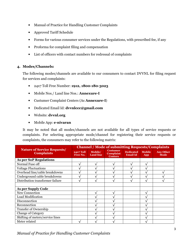- Manual of Practice for Handling Customer Complaints
- Approved Tariff Schedule
- Forms for various consumer services under the Regulations, with prescribed fee, if any
- Proforma for complaint filing and compensation
- List of officers with contact numbers for redressal of complaints

#### 4. Modes/Channels:

The following modes/channels are available to our consumers to contact DVVNL for filing request for services and complaints:

- 24x7 Toll Free Number: 1912, 1800-180-3023
- Mobile Nos./ Land line Nos.: Annexure-I
- Custumer Complaint Centers (As Annexure-I)
- Dedicated Email Id: dvvnlccc@gmail.com
- Website: dvvnl.org
- Mobile App: e-nivaran

It may be noted that all modes/channels are not available for all types of service requests or complaints. For selecting appropriate mode/channel for registering their service requests or complaints, the consumers may refer to the following matrix:

|                                                         | <b>Channel / Mode of submitting Requests/Complaints</b> |                             |                                                |                                     |                      |                                 |
|---------------------------------------------------------|---------------------------------------------------------|-----------------------------|------------------------------------------------|-------------------------------------|----------------------|---------------------------------|
| <b>Nature of Service Requests/</b><br><b>Complaints</b> | <b>24x7 Toll</b><br>Free No.                            | Mobile/<br><b>Land line</b> | <b>Costumer</b><br>Complaint<br><b>Centers</b> | <b>Dedicated</b><br><b>Email Id</b> | <b>Mobile</b><br>App | <b>Any Other</b><br><b>Mode</b> |
| <b>As per SoP Regulations</b>                           |                                                         |                             |                                                |                                     |                      |                                 |
| Normal Fuse off                                         |                                                         |                             |                                                |                                     |                      |                                 |
| <b>Voltage Fluctuations</b>                             |                                                         |                             |                                                |                                     |                      |                                 |
| Overhead line/cable breakdowns                          |                                                         |                             |                                                |                                     |                      |                                 |
| Underground cable breakdowns                            |                                                         |                             |                                                |                                     |                      |                                 |
| Distribution transformer failure                        |                                                         |                             |                                                |                                     |                      |                                 |
|                                                         |                                                         |                             |                                                |                                     |                      |                                 |
| As per Supply Code                                      |                                                         |                             |                                                |                                     |                      |                                 |
| New Connection                                          |                                                         |                             |                                                |                                     |                      |                                 |
| Load Modification                                       |                                                         |                             |                                                |                                     |                      |                                 |
| Disconnection                                           |                                                         |                             |                                                |                                     |                      |                                 |
| Reconnection                                            |                                                         |                             |                                                |                                     |                      |                                 |
| <b>Transfer of Ownership</b>                            |                                                         |                             |                                                |                                     |                      |                                 |
| <b>Change of Category</b>                               |                                                         |                             |                                                |                                     |                      |                                 |
| Shifting of meters/service lines                        |                                                         |                             |                                                |                                     |                      |                                 |
| Meter related                                           |                                                         |                             |                                                |                                     |                      |                                 |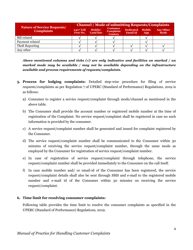|                                                         | <b>Channel / Mode of submitting Requests/Complaints</b> |                             |                                                       |                                     |                      |                                 |
|---------------------------------------------------------|---------------------------------------------------------|-----------------------------|-------------------------------------------------------|-------------------------------------|----------------------|---------------------------------|
| <b>Nature of Service Requests/</b><br><b>Complaints</b> | <b>24x7 Toll</b><br>Free No.                            | Mobile/<br><b>Land line</b> | <b>Costumer</b><br><b>Complaint</b><br><b>Centers</b> | <b>Dedicated</b><br><b>Email Id</b> | <b>Mobile</b><br>App | <b>Any Other</b><br><b>Mode</b> |
| <b>Bill related</b>                                     |                                                         |                             |                                                       |                                     |                      |                                 |
| Payment related                                         |                                                         |                             |                                                       |                                     |                      |                                 |
| Theft Reporting                                         |                                                         |                             |                                                       |                                     |                      |                                 |
| Any other                                               |                                                         |                             |                                                       |                                     |                      |                                 |

Above mentioned columns and ticks ( $\sqrt{ }$ ) are only indicative and facilities on marked / un marked mode may be available / may not be available depending on the infrastructure available and process requirements of requests/complaints.

- 5. Process for lodging complaints: Detailed step-wise procedure for filing of service requests/complaints as per Regulation 7 of UPERC (Standard of Performance) Regulations, 2019 is as follows:
	- a) Consumer to register a service request/complaint through mode/channel as mentioned in the above table.
	- b) The Consumer shall provide the account number or registered mobile number at the time of registration of the Complaint. No service request/complaint shall be registered in case no such information is provided by the consumer.
	- c) A service request/complaint number shall be generated and issued for complaint registered by the Consumer.
	- d) The service request/complaint number shall be communicated to the Consumer within 30 minutes of receiving the service request/complaint number, through the same mode as employed by the Consumer for registration of service request/complaint number.
	- e) In case of registration of service request/complaint through telephone, the service request/complaint number shall be provided immediately to the Consumer on the call itself.
	- f) In case mobile number and/ or email-id of the Consumer has been registered, the service request/complaint details shall also be sent through SMS and e-mail to the registered mobile number and e-mail id of the Consumer within 30 minutes on receiving the service request/complaint.

#### 6. Time limit for resolving consumer complaints:

Following table provides the time limit to resolve the consumer complaints as specified in the UPERC (Standard of Performance) Regulations, 2019.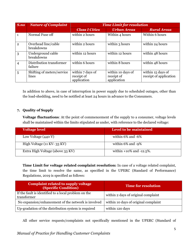| S.no           | <b>Nature of Complaint</b>          | <b>Time Limit for resolution</b>              |                                                |                                             |  |
|----------------|-------------------------------------|-----------------------------------------------|------------------------------------------------|---------------------------------------------|--|
|                |                                     | <b>Class I Cities</b>                         | <b>Urban Areas</b>                             | <b>Rural Areas</b>                          |  |
| 1              | Normal Fuse off                     | within 2 hours                                | Within 4 hours                                 | Within 6 hours                              |  |
| $\overline{2}$ | Overhead line/cable<br>breakdowns   | within 2 hours                                | within 3 hours                                 | within 24 hours                             |  |
| 3              | Underground cable<br>breakdowns     | within 12 hours                               | within 12 hours                                | within 48 hours                             |  |
| $\overline{4}$ | Distribution transformer<br>failure | within 6 hours                                | within 8 hours                                 | within 48 hours                             |  |
| 5              | Shifting of meters/service<br>lines | within 7 days of<br>receipt of<br>application | within 10 days of<br>receipt of<br>application | within 15 days of<br>receipt of application |  |

In addition to above, in case of interruption in power supply due to scheduled outages, other than the load-shedding, need to be notified at least 24 hours in advance to the Consumers.

#### 7. Quality of Supply

Voltage fluctuations: At the point of commencement of the supply to a consumer, voltage levels shall be maintained within the limits stipulated as under, with reference to the declared voltage:

| <b>Voltage level</b>             | Level to be maintained         |
|----------------------------------|--------------------------------|
| Low Voltage (440 V)              | within $6\%$ and $-6\%$        |
| High Voltage (11 KV-33 KV)       | within $6\%$ and $-9\%$        |
| Extra High Voltage (above 33 KV) | within $+10\%$ and $-12.5\%$ . |

Time Limit for voltage related complaint resolution: In case of a voltage related complaint, the time limit to resolve the same, as specified in the UPERC (Standard of Performance) Regulations, 2019 is specified as follows:

| <b>Complaint related to supply voltage</b><br><b>(Specific Condition)</b> | <b>Time for resolution</b>           |
|---------------------------------------------------------------------------|--------------------------------------|
| If the fault is identified to a local problem on the<br>transformer       | within 2 days of original complaint  |
| No expansion/enhancement of the network is involved                       | within 10 days of original complaint |
| Up-gradation of the distribution system is required                       | within 120 days                      |

All other service requests/complaints not specifically mentioned in the UPERC (Standard of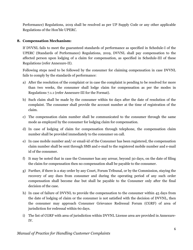Performance) Regulations, 2019 shall be resolved as per UP Supply Code or any other applicable Regulations of the Hon'ble UPERC.

#### 8. Compensation Mechanism:

If DVVNL fails to meet the guaranteed standards of performance as specified in Schedule-I of the UPERC (Standards of Performance) Regulations, 2019, DVVNL shall pay compensation to the affected person upon lodging of a claim for compensation, as specified in Schedule-III of these Regulations (refer Annexure-II).

Following steps need to be followed by the consumer for claiming compensation in case DVVNL fails to comply by the standards of performance:

- a) After the resolution of the complaint or in case the complaint is pending to be resolved for more than two weeks, the consumer shall lodge claim for compensation as per the modes in Regulations 7.1.1 (refer Annexure-III for the Format).
- b) Such claim shall be made by the consumer within 60 days after the date of resolution of the complaint. The consumer shall provide the account number at the time of registration of the claim.
- c) The compensation claim number shall be communicated to the consumer through the same mode as employed by the consumer for lodging claim for compensation.
- d) In case of lodging of claim for compensation through telephone, the compensation claim number shall be provided immediately to the consumer on call.
- e) In case mobile number and/ or email-id of the Consumer has been registered, the compensation claim number shall be sent through SMS and e-mail to the registered mobile number and e-mail id of the consumer.
- f) It may be noted that in case the Consumer has any arrear, beyond 30 days, on the date of filing the claim for compensation then no compensation shall be payable to the consumer.
- g) Further, if there is a stay order by any Court, Forum Tribunal, or by the Commission, staying the recovery of any dues from consumer and during the operating period of any such order compensation shall become due but shall be payable to the Consumer only after the final decision of the case.
- h) In case of failure of DVVNL to provide the compensation to the consumer within 45 days from the date of lodging of claim or the consumer is not satisfied with the decision of DVVNL, then the consumer may approach Consumer Grievance Redressal Forum (CGRF) of area of jurisdiction for redressal within 60 days.
- i) The list of CGRF with area of jurisdiction within DVVNL License area are provided in Annexure-IV.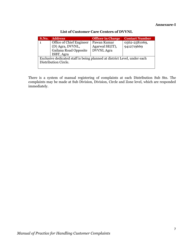#### Annexure-I

| S.No.                                                                                            | <b>Address</b>                                                        | <b>Officer in Charge</b>                            | <b>Contact Number</b>       |  |  |
|--------------------------------------------------------------------------------------------------|-----------------------------------------------------------------------|-----------------------------------------------------|-----------------------------|--|--|
|                                                                                                  | Office of Chief Engineer<br>(D) Agra, DVVNL,<br>Gailana Road Opposite | Pawan Kumar<br>Agarwal SE(IT),<br><b>DVVNL</b> Agra | 0562-2581069,<br>9412719669 |  |  |
|                                                                                                  | ISBT, Agra                                                            |                                                     |                             |  |  |
| Exclusive dedicated staff is being planned at district Level, under each<br>Distribution Circle. |                                                                       |                                                     |                             |  |  |

List of Customer Care Centers of DVVNL

There is a system of manual registering of complaints at each Distribution Sub Stn. The complaints may be made at Sub Division, Division, Circle and Zone level, which are responded immediately.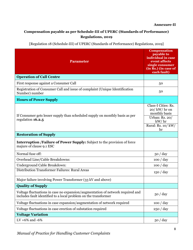#### Annexure-II

#### Compensation payable as per Schedule-III of UPERC (Standards of Performance) Regulations, 2019

[Regulation 18 (Schedule-III) of UPERC (Standards of Performance) Regulations, 2019]

| <b>Parameter</b>                                                                                                                                  | <b>Compensation</b><br>payable to<br>individual in case<br>event affects<br>single consumer<br>(in Rs.) (in case of<br>each fault) |
|---------------------------------------------------------------------------------------------------------------------------------------------------|------------------------------------------------------------------------------------------------------------------------------------|
| <b>Operation of Call Centre</b>                                                                                                                   |                                                                                                                                    |
| First response against a Consumer Call                                                                                                            | 50                                                                                                                                 |
| Registration of Consumer Call and issue of complaint (Unique Identification<br>Number) number                                                     | 50                                                                                                                                 |
| <b>Hours of Power Supply</b>                                                                                                                      |                                                                                                                                    |
| If Consumer gets lesser supply than scheduled supply on monthly basis as per<br>regulation 16.2.5                                                 | Class-I Cities: Rs.<br>$20/$ kW/ hr on<br>monthly basis<br>Urban: Rs. 20/<br>kW/hr<br>Rural: Rs. 10/ kW/<br>hr                     |
| <b>Restoration of Supply</b>                                                                                                                      |                                                                                                                                    |
| <b>Interruption /Failure of Power Supply:</b> Subject to the provision of force<br>majure of clause 9.1 ESC                                       |                                                                                                                                    |
| Normal fuse off:                                                                                                                                  | 50 / day                                                                                                                           |
| Overhead Line/Cable Breakdowns:                                                                                                                   | 100 / day                                                                                                                          |
| Underground Cable Breakdown:                                                                                                                      | 100 / day                                                                                                                          |
| Distribution Transformer Failures: Rural Areas                                                                                                    | 150 / day                                                                                                                          |
| Major failure involving Power Transformer (33 kV and above)                                                                                       |                                                                                                                                    |
| <b>Quality of Supply</b>                                                                                                                          |                                                                                                                                    |
| Voltage fluctuations in case no expansion/augmentation of network required and<br>includes fault identified to a local problem on the transformer | 50 / day                                                                                                                           |
| Voltage fluctuations in case expansion/augmentation of network required                                                                           | 100 / day                                                                                                                          |
| Voltage fluctuations in case erection of substation required                                                                                      | 250 / day                                                                                                                          |
| <b>Voltage Variation</b>                                                                                                                          |                                                                                                                                    |
| LV +6% and -6%                                                                                                                                    | 50 / day                                                                                                                           |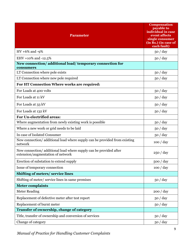| <b>Parameter</b>                                                                                        | <b>Compensation</b><br>payable to<br>individual in case<br>event affects<br>single consumer<br>(in Rs.) (in case of<br>each fault) |
|---------------------------------------------------------------------------------------------------------|------------------------------------------------------------------------------------------------------------------------------------|
| $HV +6\%$ and -9%                                                                                       | 50 / day                                                                                                                           |
| EHV +10% and -12.5%                                                                                     | 50 / day                                                                                                                           |
| New connection/additional load/temporary connection for<br>consumers                                    |                                                                                                                                    |
| LT Connection where pole exists                                                                         | 50 / day                                                                                                                           |
| LT Connection where new pole required                                                                   | 50 / day                                                                                                                           |
| For HT Connection Where works are required:                                                             |                                                                                                                                    |
| For Loads at 400 volts                                                                                  | 50 / day                                                                                                                           |
| For Loads at 11 kV                                                                                      | 50 / day                                                                                                                           |
| For Loads at 33 kV                                                                                      | 50 / day                                                                                                                           |
| For Loads at 132 kV                                                                                     | 50 / day                                                                                                                           |
| For Un-electrified areas:                                                                               |                                                                                                                                    |
| Where augmentation from newly existing work is possible                                                 | 50 / day                                                                                                                           |
| Where a new work or grid needs to be laid                                                               | 50 / day                                                                                                                           |
| In case of Isolated Consumer                                                                            | 50 / day                                                                                                                           |
| New connection/additional load where supply can be provided from existing<br>network                    | 100 / day                                                                                                                          |
| New connection/ additional load where supply can be provided after<br>extension/augmentation of network | 250 / day                                                                                                                          |
| Erection of substation to extend supply                                                                 | 500 / day                                                                                                                          |
| Issue of temporary connection                                                                           | 100 / day                                                                                                                          |
| Shifting of meters/service lines                                                                        |                                                                                                                                    |
| Shifting of meter/service lines in same premises                                                        | 50 / day                                                                                                                           |
| <b>Meter complaints</b>                                                                                 |                                                                                                                                    |
| <b>Meter Reading</b>                                                                                    | 200 / day                                                                                                                          |
| Replacement of defective meter after test report                                                        | 50 / day                                                                                                                           |
| Replacement of burnt meter                                                                              | 50 / day                                                                                                                           |
| Transfer of ownership, change of category                                                               |                                                                                                                                    |
| Title, transfer of ownership and conversion of services                                                 | 50 / day                                                                                                                           |
| Change of category                                                                                      | 50 / day                                                                                                                           |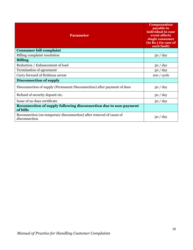| <b>Parameter</b>                                                                     | <b>Compensation</b><br>payable to<br>individual in case<br>event affects<br>single consumer<br>(in Rs.) (in case of<br>each fault) |
|--------------------------------------------------------------------------------------|------------------------------------------------------------------------------------------------------------------------------------|
| <b>Consumer bill complaint</b>                                                       |                                                                                                                                    |
| Billing complaint resolution                                                         | 50 / day                                                                                                                           |
| <b>Billing</b>                                                                       |                                                                                                                                    |
| Reduction / Enhancement of load                                                      | 50 / day                                                                                                                           |
| Termination of agreement                                                             | 50 / day                                                                                                                           |
| Carry forward of fictitious arrear                                                   | 100 / cycle                                                                                                                        |
| <b>Disconnection of supply</b>                                                       |                                                                                                                                    |
| Disconnection of supply (Permanent Disconnection) after payment of dues              | 50 / day                                                                                                                           |
| Refund of security deposit etc.                                                      | 50 / day                                                                                                                           |
| Issue of no dues certificate                                                         | 50 / day                                                                                                                           |
| Reconnection of supply following disconnection due to non-payment<br>of bills        |                                                                                                                                    |
| Reconnection (on temporary disconnection) after removal of cause of<br>disconnection | 50 / day                                                                                                                           |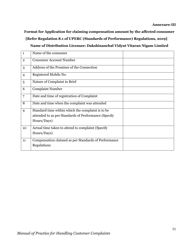Format for Application for claiming compensation amount by the affected consumer [Refer Regulation 8.1 of UPERC (Standards of Performance) Regulations, 2019] Name of Distribution Licensee: Dakshinanchal Vidyut Vitaran Nigam Limited

| $\mathbf{1}$   | Name of the consumer                                 |  |
|----------------|------------------------------------------------------|--|
| $\overline{2}$ | <b>Consumer Account Number</b>                       |  |
| 3              | Address of the Premises of the Connection            |  |
| $\overline{4}$ | Registered Mobile No.                                |  |
| 5              | Nature of Complaint in Brief                         |  |
| 6              | <b>Complaint Number</b>                              |  |
| $\overline{7}$ | Date and time of registration of Complaint           |  |
| 8              | Date and time when the complaint was attended        |  |
| 9              | Standard time within which the complaint is to be    |  |
|                | attended to as per Standards of Performance (Specify |  |
|                | Hours/Days)                                          |  |
| 10             | Actual time taken to attend to complaint (Specify    |  |
|                | Hours/Days)                                          |  |
| 11             | Compensation claimed as per Standards of Performance |  |
|                | Regulations                                          |  |